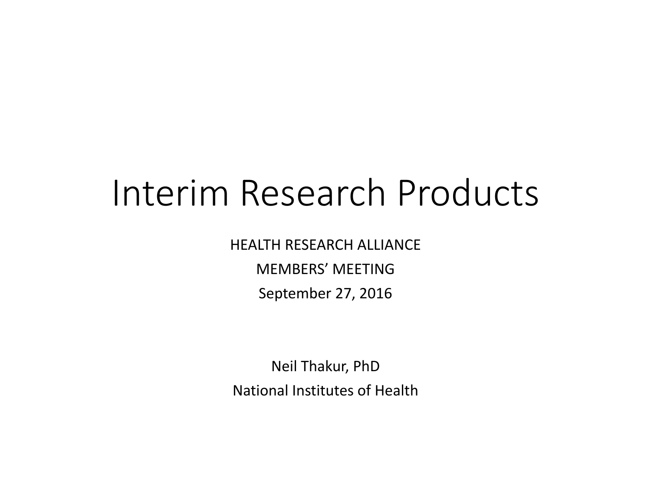# Interim Research Products

HEALTH RESEARCH ALLIANCE MEMBERS' MEETINGSeptember 27, 2016

Neil Thakur, PhD National Institutes of Health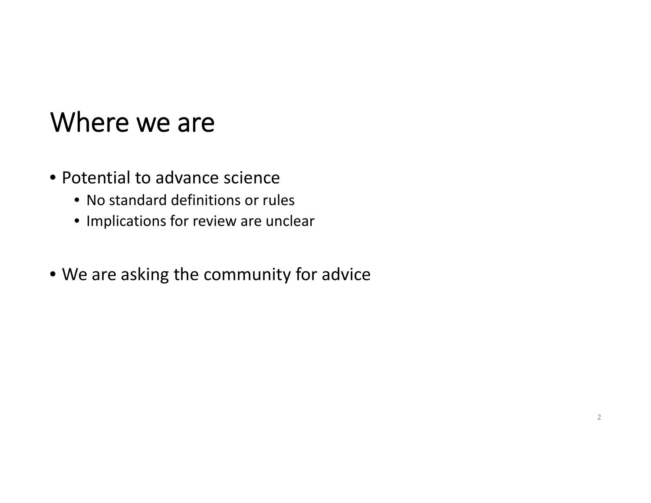### Where we are

- Potential to advance science
	- No standard definitions or rules
	- Implications for review are unclear
- We are asking the community for advice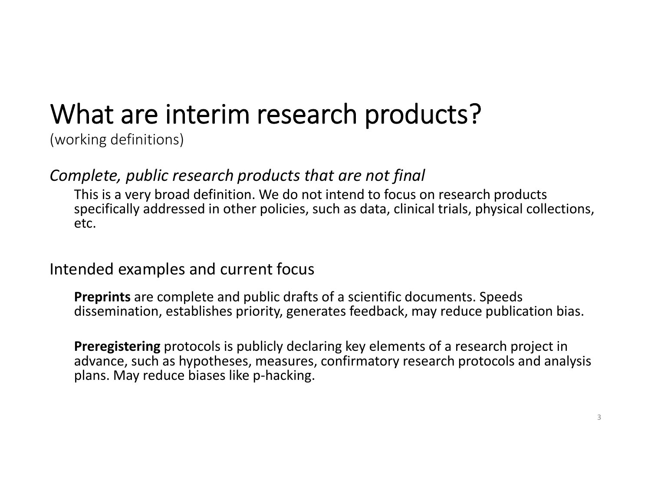# What are interim research products?

(working definitions)

#### *Complete, public research products that are not final*

This is a very broad definition. We do not intend to focus on research products specifically addressed in other policies, such as data, clinical trials, physical collections, etc.

Intended examples and current focus

**Preprints** are complete and public drafts of <sup>a</sup> scientific documents. Speeds dissemination, establishes priority, generates feedback, may reduce publication bias.

**Preregistering** protocols is publicly declaring key elements of <sup>a</sup> research project in advance, such as hypotheses, measures, confirmatory research protocols and analysis plans. May reduce biases like p‐hacking.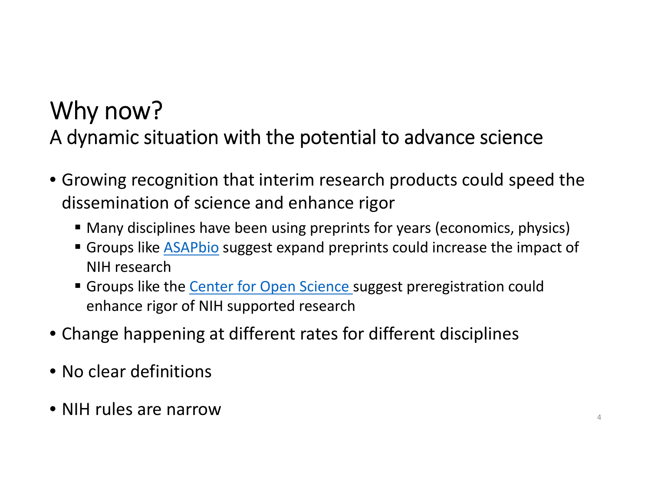#### Why now? A dynamic situation with the potential to advance science

- Growing recognition that interim research products could speed the dissemination of science and enhance rigor
	- Many disciplines have been using preprints for years (economics, physics)
	- **Groups like ASAPbio suggest expand preprints could increase the impact of** NIH research
	- **Groups like the** *Center for Open Science* **suggest preregistration could** enhance rigor of NIH supported research
- Change happening at different rates for different disciplines
- No clear definitions
- NIH rules are narrow $\frac{4}{4}$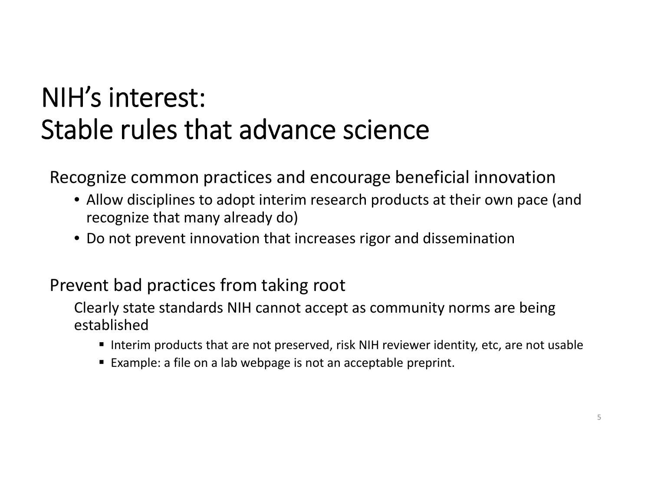# NIH's interest: Stable rules that advance science

Recognize common practices and encourage beneficial innovation

- Allow disciplines to adopt interim research products at their own pace (and recognize that many already do)
- Do not prevent innovation that increases rigor and dissemination

#### Prevent bad practices from taking root

Clearly state standards NIH cannot accept as community norms are being established

- Interim products that are not preserved, risk NIH reviewer identity, etc, are not usable
- Example: a file on a lab webpage is not an acceptable preprint.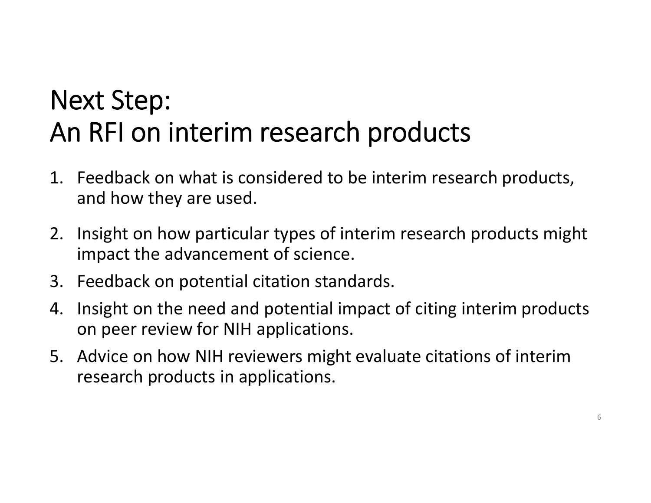# Next Step: An RFI on interim research products

- 1. Feedback on what is considered to be interim research products, and how they are used.
- 2. Insight on how particular types of interim research products might impact the advancement of science.
- 3. Feedback on potential citation standards.
- 4. Insight on the need and potential impact of citing interim products on peer review for NIH applications.
- 5. Advice on how NIH reviewers might evaluate citations of interim research products in applications.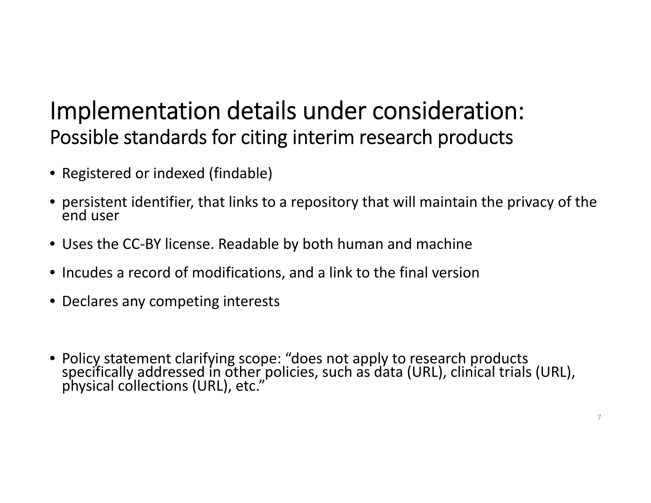#### Implementation details under consideration: Possible standards for citing interim research products

- Registered or indexed (findable)
- •persistent identifier, that links to a repository that will maintain the privacy of the end user
- Uses the CC‐BY license. Readable by both human and machine
- Incudes a record of modifications, and <sup>a</sup> link to the final version
- Declares any competing interests
- •Policy statement clarifying scope: "does not apply to research products specifically addressed in other policies, such as data (URL), clinical trials (URL), physical collections (URL), etc."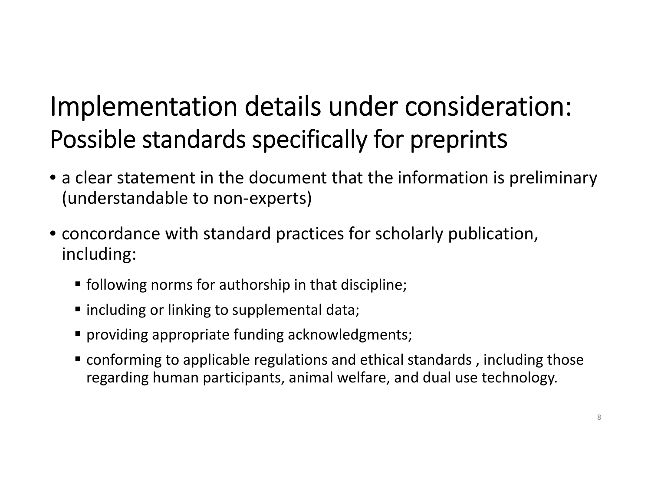## Implementation details under consideration: Possible standards specifically for preprints

- a clear statement in the document that the information is preliminary (understandable to non‐experts)
- concordance with standard practices for scholarly publication, including:
	- following norms for authorship in that discipline;
	- including or linking to supplemental data;
	- providing appropriate funding acknowledgments;
	- conforming to applicable regulations and ethical standards , including those regarding human participants, animal welfare, and dual use technology.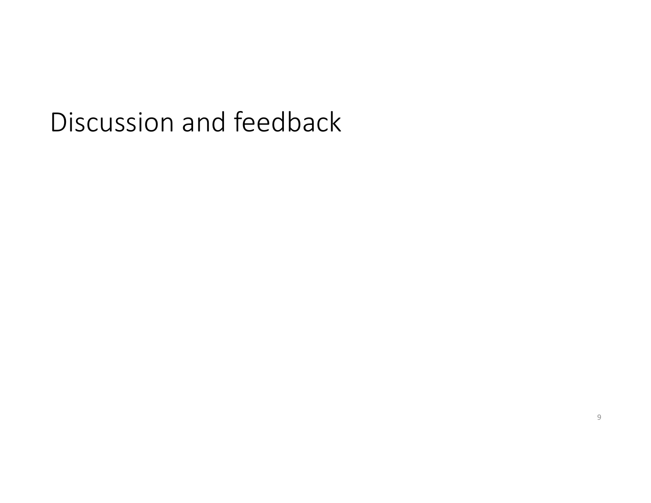#### Discussion and feedback